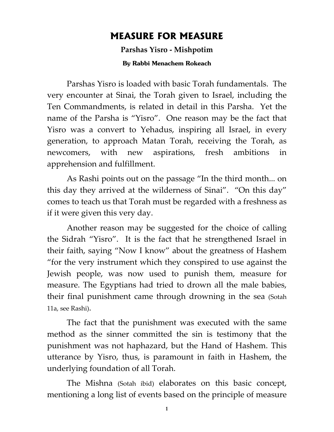## **MEASURE FOR MEASURE**

**Parshas Yisro - Mishpotim** 

**By Rabbi Menachem Rokeach**

Parshas Yisro is loaded with basic Torah fundamentals. The very encounter at Sinai, the Torah given to Israel, including the Ten Commandments, is related in detail in this Parsha. Yet the name of the Parsha is "Yisro". One reason may be the fact that Yisro was a convert to Yehadus, inspiring all Israel, in every generation, to approach Matan Torah, receiving the Torah, as newcomers, with new aspirations, fresh ambitions in apprehension and fulfillment.

As Rashi points out on the passage "In the third month... on this day they arrived at the wilderness of Sinai". "On this day" comes to teach us that Torah must be regarded with a freshness as if it were given this very day.

Another reason may be suggested for the choice of calling the Sidrah "Yisro". It is the fact that he strengthened Israel in their faith, saying "Now I know" about the greatness of Hashem "for the very instrument which they conspired to use against the Jewish people, was now used to punish them, measure for measure. The Egyptians had tried to drown all the male babies, their final punishment came through drowning in the sea (Sotah 11a, see Rashi).

The fact that the punishment was executed with the same method as the sinner committed the sin is testimony that the punishment was not haphazard, but the Hand of Hashem. This utterance by Yisro, thus, is paramount in faith in Hashem, the underlying foundation of all Torah.

The Mishna (Sotah ibid) elaborates on this basic concept, mentioning a long list of events based on the principle of measure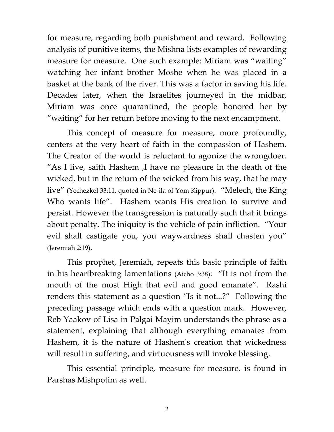for measure, regarding both punishment and reward. Following analysis of punitive items, the Mishna lists examples of rewarding measure for measure. One such example: Miriam was "waiting" watching her infant brother Moshe when he was placed in a basket at the bank of the river. This was a factor in saving his life. Decades later, when the Israelites journeyed in the midbar, Miriam was once quarantined, the people honored her by "waiting" for her return before moving to the next encampment.

This concept of measure for measure, more profoundly, centers at the very heart of faith in the compassion of Hashem. The Creator of the world is reluctant to agonize the wrongdoer. "As I live, saith Hashem ,I have no pleasure in the death of the wicked, but in the return of the wicked from his way, that he may live" (Yechezkel 33:11, quoted in Ne-ila of Yom Kippur). "Melech, the King Who wants life". Hashem wants His creation to survive and persist. However the transgression is naturally such that it brings about penalty. The iniquity is the vehicle of pain infliction. "Your evil shall castigate you, you waywardness shall chasten you" (Jeremiah 2:19).

This prophet, Jeremiah, repeats this basic principle of faith in his heartbreaking lamentations (Aicho 3:38): "It is not from the mouth of the most High that evil and good emanate". Rashi renders this statement as a question "Is it not...?" Following the preceding passage which ends with a question mark. However, Reb Yaakov of Lisa in Palgai Mayim understands the phrase as a statement, explaining that although everything emanates from Hashem, it is the nature of Hashem's creation that wickedness will result in suffering, and virtuousness will invoke blessing.

This essential principle, measure for measure, is found in Parshas Mishpotim as well.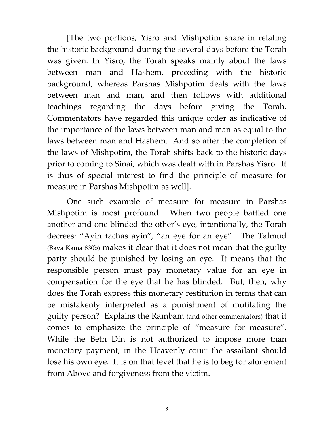[The two portions, Yisro and Mishpotim share in relating the historic background during the several days before the Torah was given. In Yisro, the Torah speaks mainly about the laws between man and Hashem, preceding with the historic background, whereas Parshas Mishpotim deals with the laws between man and man, and then follows with additional teachings regarding the days before giving the Torah. Commentators have regarded this unique order as indicative of the importance of the laws between man and man as equal to the laws between man and Hashem. And so after the completion of the laws of Mishpotim, the Torah shifts back to the historic days prior to coming to Sinai, which was dealt with in Parshas Yisro. It is thus of special interest to find the principle of measure for measure in Parshas Mishpotim as well].

One such example of measure for measure in Parshas Mishpotim is most profound. When two people battled one another and one blinded the other's eye, intentionally, the Torah decrees: "Ayin tachas ayin", "an eye for an eye". The Talmud (Bava Kama 830b) makes it clear that it does not mean that the guilty party should be punished by losing an eye. It means that the responsible person must pay monetary value for an eye in compensation for the eye that he has blinded. But, then, why does the Torah express this monetary restitution in terms that can be mistakenly interpreted as a punishment of mutilating the guilty person? Explains the Rambam (and other commentators) that it comes to emphasize the principle of "measure for measure". While the Beth Din is not authorized to impose more than monetary payment, in the Heavenly court the assailant should lose his own eye. It is on that level that he is to beg for atonement from Above and forgiveness from the victim.